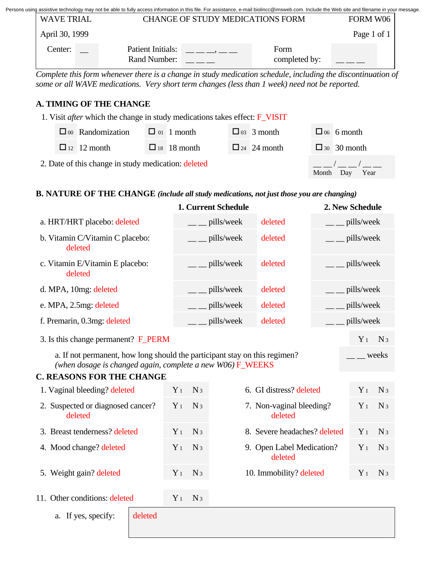| Persons using assistive technology may not be able to fully access information in this file. For assistance, e-mail biolincc@imsweb.com. Include the Web site and filename in your message. |  |  |
|---------------------------------------------------------------------------------------------------------------------------------------------------------------------------------------------|--|--|
|                                                                                                                                                                                             |  |  |
|                                                                                                                                                                                             |  |  |

| CHANGE OF STUDY MEDICATIONS FORM<br><b>WAVE TRIAL</b> |  |                                   |  |                       | FORM W06    |  |  |
|-------------------------------------------------------|--|-----------------------------------|--|-----------------------|-------------|--|--|
| April 30, 1999                                        |  |                                   |  |                       | Page 1 of 1 |  |  |
| Center:                                               |  | Patient Initials:<br>Rand Number: |  | Form<br>completed by: |             |  |  |

*Complete this form whenever there is a change in study medication schedule, including the discontinuation of some or all WAVE medications. Very short term changes (less than 1 week) need not be reported.* 

## **A. TIMING OF THE CHANGE**

| 1. Visit <i>after</i> which the change in study medications takes effect: $\bf{F}_\text{NIST}$ |  |                         |  |                    |       |                      |  |                    |
|------------------------------------------------------------------------------------------------|--|-------------------------|--|--------------------|-------|----------------------|--|--------------------|
|                                                                                                |  | $\Box$ 00 Randomization |  | $\Box$ 01 1 month  |       | $\Box$ 03 3 month    |  | $\Box$ 06 6 month  |
|                                                                                                |  | $\Box$ 12 12 month      |  | $\Box$ 18 18 month |       | $\Box$ 24 $24$ month |  | $\Box$ 30 30 month |
| 2. Date of this change in study medication: deleted                                            |  |                         |  |                    | Month | Year<br>Dav          |  |                    |

## **B. NATURE OF THE CHANGE** *(include all study medications, not just those you are changing)*

|                                                                                                                                                                   |       | 1. Current Schedule   |                         |                                      |            | 2. New Schedule |                |  |  |
|-------------------------------------------------------------------------------------------------------------------------------------------------------------------|-------|-----------------------|-------------------------|--------------------------------------|------------|-----------------|----------------|--|--|
| a. HRT/HRT placebo: deleted                                                                                                                                       |       | pills/week            |                         | deleted                              |            | pills/week      |                |  |  |
| b. Vitamin C/Vitamin C placebo:<br>deleted                                                                                                                        |       | pills/week            |                         | deleted                              | pills/week |                 |                |  |  |
| c. Vitamin E/Vitamin E placebo:<br>deleted                                                                                                                        |       | pills/week            |                         | deleted                              | pills/week |                 |                |  |  |
| d. MPA, 10mg: deleted                                                                                                                                             |       | pills/week            |                         | deleted                              | pills/week |                 |                |  |  |
| e. MPA, 2.5mg: deleted                                                                                                                                            |       | pills/week<br>deleted |                         |                                      | pills/week |                 |                |  |  |
| pills/week<br>deleted<br>f. Premarin, 0.3mg: deleted                                                                                                              |       |                       |                         |                                      |            | pills/week      |                |  |  |
| 3. Is this change permanent? F_PERM                                                                                                                               |       |                       |                         |                                      |            |                 | N <sub>3</sub> |  |  |
| a. If not permanent, how long should the participant stay on this regimen?<br>weeks<br>(when dosage is changed again, complete a new $W06$ ) $\overline{F}$ WEEKS |       |                       |                         |                                      |            |                 |                |  |  |
| <b>C. REASONS FOR THE CHANGE</b>                                                                                                                                  |       |                       |                         |                                      |            |                 |                |  |  |
| 1. Vaginal bleeding? deleted                                                                                                                                      | $Y_1$ | N <sub>3</sub>        | 6. GI distress? deleted |                                      |            | $Y_1$           | N <sub>3</sub> |  |  |
| 2. Suspected or diagnosed cancer?<br>deleted                                                                                                                      | $Y_1$ | N <sub>3</sub>        |                         | 7. Non-vaginal bleeding?<br>deleted  |            | $Y_1$           | N <sub>3</sub> |  |  |
| 3. Breast tenderness? deleted                                                                                                                                     | $Y_1$ | N <sub>3</sub>        |                         | 8. Severe headaches? deleted         | $Y_1$      | $N_3$           |                |  |  |
| 4. Mood change? deleted                                                                                                                                           |       | $N_3$                 |                         | 9. Open Label Medication?<br>deleted |            | $Y_1$           | $N_3$          |  |  |
| 5. Weight gain? deleted                                                                                                                                           | $Y_1$ | $N_3$                 | 10. Immobility? deleted |                                      |            | $Y_1$           | $N_3$          |  |  |
| 11. Other conditions: deleted                                                                                                                                     | $Y_1$ | $N_3$                 |                         |                                      |            |                 |                |  |  |
| deleted<br>a. If yes, specify:                                                                                                                                    |       |                       |                         |                                      |            |                 |                |  |  |